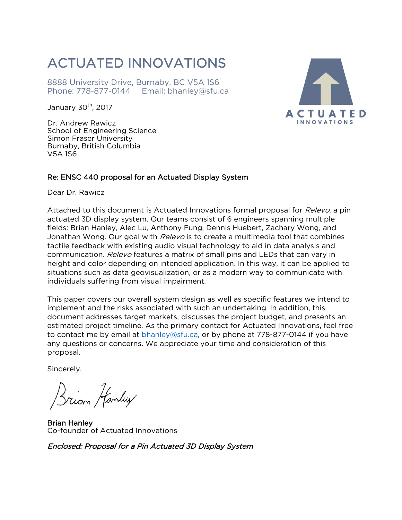### ACTUATED INNOVATIONS

8888 University Drive, Burnaby, BC V5A 1S6 Phone: 778-877-0144 Email: bhanley@sfu.ca

January  $30<sup>th</sup>$ , 2017

Dr. Andrew Rawicz School of Engineering Science Simon Fraser University Burnaby, British Columbia V5A 1S6

#### Re: ENSC 440 proposal for an Actuated Display System

Dear Dr. Rawicz

Attached to this document is Actuated Innovations formal proposal for Relevo, a pin actuated 3D display system. Our teams consist of 6 engineers spanning multiple fields: Brian Hanley, Alec Lu, Anthony Fung, Dennis Huebert, Zachary Wong, and Jonathan Wong. Our goal with Relevo is to create a multimedia tool that combines tactile feedback with existing audio visual technology to aid in data analysis and communication. Relevo features a matrix of small pins and LEDs that can vary in height and color depending on intended application. In this way, it can be applied to situations such as data geovisualization, or as a modern way to communicate with individuals suffering from visual impairment.

This paper covers our overall system design as well as specific features we intend to implement and the risks associated with such an undertaking. In addition, this document addresses target markets, discusses the project budget, and presents an estimated project timeline. As the primary contact for Actuated Innovations, feel free to contact me by email at **bhanley@sfu.ca**, or by phone at 778-877-0144 if you have any questions or concerns. We appreciate your time and consideration of this proposal.

Sincerely,

Zriom Hanley

Brian Hanley Co-founder of Actuated Innovations

Enclosed: Proposal for a Pin Actuated 3D Display System

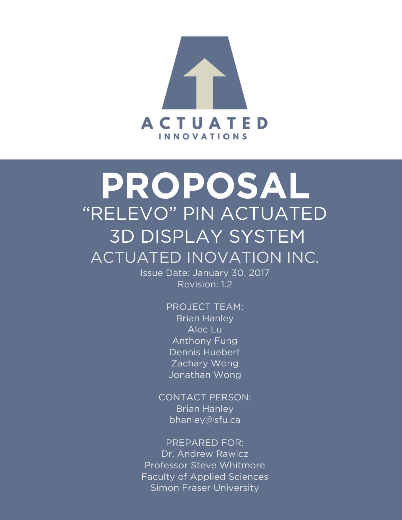

# PROPOSAL "RELEVO" PIN ACTUATED 3D DISPLAY SYSTEM ACTUATED INOVATION INC.

Issue Date: January 30, 2017 Revision: 1.2

> PROJECT TEAM: **Brian Hanley** Alec Lu Anthony Fung Dennis Huebert Zachary Wong Jonathan Wong

CONTACT PERSON: Brian Hanley bhanley@sfu.ca

PREPARED FOR: Dr. Andrew Rawicz Professor Steve Whitmore Faculty of Applied Sciences Simon Fraser University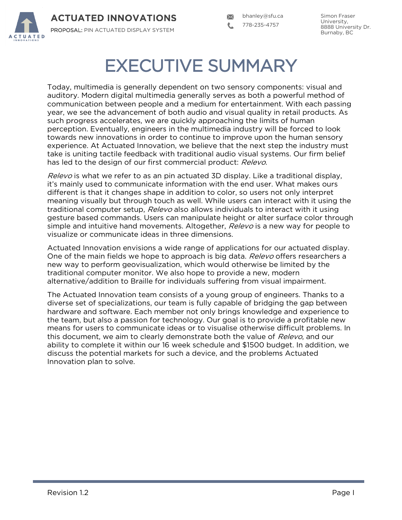

Simon Fraser University, 8888 University Dr. Burnaby, BC

## EXECUTIVE SUMMARY

Today, multimedia is generally dependent on two sensory components: visual and auditory. Modern digital multimedia generally serves as both a powerful method of communication between people and a medium for entertainment. With each passing year, we see the advancement of both audio and visual quality in retail products. As such progress accelerates, we are quickly approaching the limits of human perception. Eventually, engineers in the multimedia industry will be forced to look towards new innovations in order to continue to improve upon the human sensory experience. At Actuated Innovation, we believe that the next step the industry must take is uniting tactile feedback with traditional audio visual systems. Our firm belief has led to the design of our first commercial product: Relevo.

Relevo is what we refer to as an pin actuated 3D display. Like a traditional display, it"s mainly used to communicate information with the end user. What makes ours different is that it changes shape in addition to color, so users not only interpret meaning visually but through touch as well. While users can interact with it using the traditional computer setup, Relevo also allows individuals to interact with it using gesture based commands. Users can manipulate height or alter surface color through simple and intuitive hand movements. Altogether, Relevo is a new way for people to visualize or communicate ideas in three dimensions.

Actuated Innovation envisions a wide range of applications for our actuated display. One of the main fields we hope to approach is big data. Relevo offers researchers a new way to perform geovisualization, which would otherwise be limited by the traditional computer monitor. We also hope to provide a new, modern alternative/addition to Braille for individuals suffering from visual impairment.

The Actuated Innovation team consists of a young group of engineers. Thanks to a diverse set of specializations, our team is fully capable of bridging the gap between hardware and software. Each member not only brings knowledge and experience to the team, but also a passion for technology. Our goal is to provide a profitable new means for users to communicate ideas or to visualise otherwise difficult problems. In this document, we aim to clearly demonstrate both the value of Relevo, and our ability to complete it within our 16 week schedule and \$1500 budget. In addition, we discuss the potential markets for such a device, and the problems Actuated Innovation plan to solve.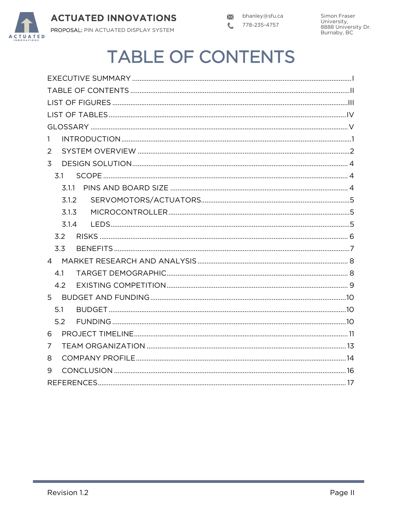

Simon Fraser University,<br>B888 University Dr.<br>Burnaby, BC

## **TABLE OF CONTENTS**

| 1              |
|----------------|
| 2              |
| $\overline{3}$ |
| 3.1            |
| 3.1.1          |
| 3.1.2          |
| 3.1.3          |
| 3.1.4          |
| 3.2            |
| 3.3            |
|                |
| 4.1            |
| 4.2            |
|                |
| 5.1            |
| 5.2            |
| 6              |
| 7              |
| 8              |
| 9              |
|                |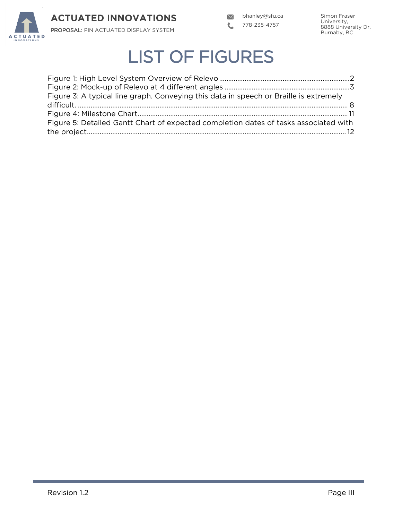

Simon Fraser University, 8888 University Dr. Burnaby, BC

## LIST OF FIGURES

| Figure 3: A typical line graph. Conveying this data in speech or Braille is extremely |  |
|---------------------------------------------------------------------------------------|--|
|                                                                                       |  |
|                                                                                       |  |
| Figure 5: Detailed Gantt Chart of expected completion dates of tasks associated with  |  |
|                                                                                       |  |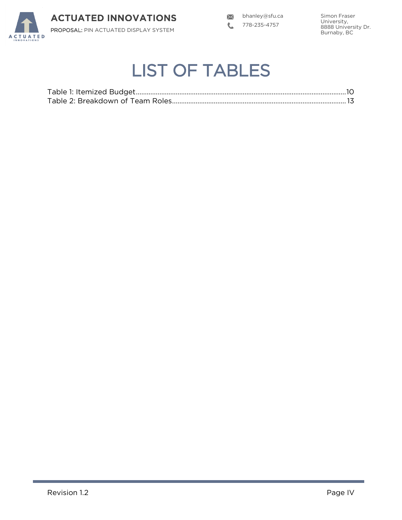

bhanley@sfu.ca L 778-235-4757

Simon Fraser University, 8888 University Dr. Burnaby, BC

## LIST OF TABLES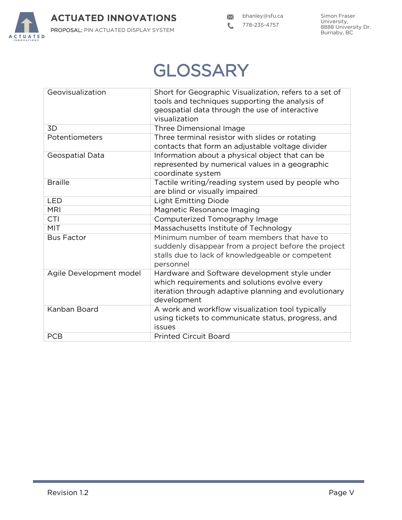

## **GLOSSARY**

| Geovisualization        | Short for Geographic Visualization, refers to a set of<br>tools and techniques supporting the analysis of<br>geospatial data through the use of interactive           |
|-------------------------|-----------------------------------------------------------------------------------------------------------------------------------------------------------------------|
|                         | visualization                                                                                                                                                         |
| 3D                      | Three Dimensional Image                                                                                                                                               |
| Potentiometers          | Three terminal resistor with slides or rotating<br>contacts that form an adjustable voltage divider                                                                   |
| Geospatial Data         | Information about a physical object that can be<br>represented by numerical values in a geographic<br>coordinate system                                               |
| <b>Braille</b>          | Tactile writing/reading system used by people who<br>are blind or visually impaired                                                                                   |
| <b>LED</b>              | <b>Light Emitting Diode</b>                                                                                                                                           |
| <b>MRI</b>              | Magnetic Resonance Imaging                                                                                                                                            |
| <b>CTI</b>              | Computerized Tomography Image                                                                                                                                         |
| <b>MIT</b>              | Massachusetts Institute of Technology                                                                                                                                 |
| <b>Bus Factor</b>       | Minimum number of team members that have to<br>suddenly disappear from a project before the project<br>stalls due to lack of knowledgeable or competent<br>personnel  |
| Agile Development model | Hardware and Software development style under<br>which requirements and solutions evolve every<br>iteration through adaptive planning and evolutionary<br>development |
| Kanban Board            | A work and workflow visualization tool typically<br>using tickets to communicate status, progress, and<br>issues                                                      |
| <b>PCB</b>              | <b>Printed Circuit Board</b>                                                                                                                                          |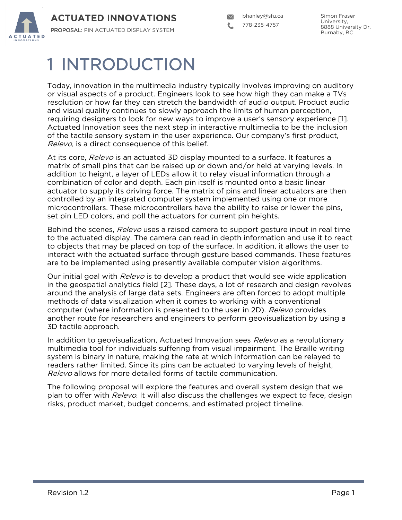

bhanley@sfu.ca 778-235-4757

## 1 INTRODUCTION

Today, innovation in the multimedia industry typically involves improving on auditory or visual aspects of a product. Engineers look to see how high they can make a TVs resolution or how far they can stretch the bandwidth of audio output. Product audio and visual quality continues to slowly approach the limits of human perception, requiring designers to look for new ways to improve a user"s sensory experience [1]. Actuated Innovation sees the next step in interactive multimedia to be the inclusion of the tactile sensory system in the user experience. Our company"s first product, Relevo, is a direct consequence of this belief.

At its core, Relevo is an actuated 3D display mounted to a surface. It features a matrix of small pins that can be raised up or down and/or held at varying levels. In addition to height, a layer of LEDs allow it to relay visual information through a combination of color and depth. Each pin itself is mounted onto a basic linear actuator to supply its driving force. The matrix of pins and linear actuators are then controlled by an integrated computer system implemented using one or more microcontrollers. These microcontrollers have the ability to raise or lower the pins, set pin LED colors, and poll the actuators for current pin heights.

Behind the scenes, *Relevo* uses a raised camera to support gesture input in real time to the actuated display. The camera can read in depth information and use it to react to objects that may be placed on top of the surface. In addition, it allows the user to interact with the actuated surface through gesture based commands. These features are to be implemented using presently available computer vision algorithms.

Our initial goal with *Relevo* is to develop a product that would see wide application in the geospatial analytics field [2]. These days, a lot of research and design revolves around the analysis of large data sets. Engineers are often forced to adopt multiple methods of data visualization when it comes to working with a conventional computer (where information is presented to the user in 2D). Relevo provides another route for researchers and engineers to perform geovisualization by using a 3D tactile approach.

In addition to geovisualization, Actuated Innovation sees Relevo as a revolutionary multimedia tool for individuals suffering from visual impairment. The Braille writing system is binary in nature, making the rate at which information can be relayed to readers rather limited. Since its pins can be actuated to varying levels of height, Relevo allows for more detailed forms of tactile communication.

The following proposal will explore the features and overall system design that we plan to offer with *Relevo*. It will also discuss the challenges we expect to face, design risks, product market, budget concerns, and estimated project timeline.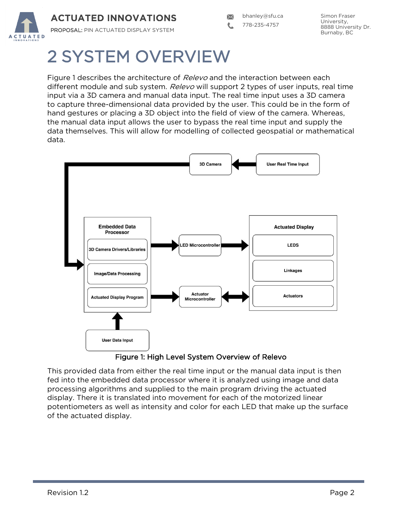

## 2 SYSTEM OVERVIEW

Figure 1 describes the architecture of *Relevo* and the interaction between each different module and sub system. Relevo will support 2 types of user inputs, real time input via a 3D camera and manual data input. The real time input uses a 3D camera to capture three-dimensional data provided by the user. This could be in the form of hand gestures or placing a 3D object into the field of view of the camera. Whereas, the manual data input allows the user to bypass the real time input and supply the data themselves. This will allow for modelling of collected geospatial or mathematical data.



Figure 1: High Level System Overview of Relevo

This provided data from either the real time input or the manual data input is then fed into the embedded data processor where it is analyzed using image and data processing algorithms and supplied to the main program driving the actuated display. There it is translated into movement for each of the motorized linear potentiometers as well as intensity and color for each LED that make up the surface of the actuated display.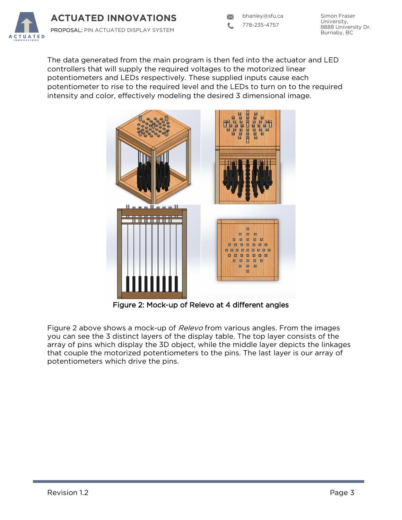

bhanley@sfu.ca 778-235-4757

Simon Fraser University, 8888 University Dr. Burnaby, BC

The data generated from the main program is then fed into the actuator and LED controllers that will supply the required voltages to the motorized linear potentiometers and LEDs respectively. These supplied inputs cause each potentiometer to rise to the required level and the LEDs to turn on to the required intensity and color, effectively modeling the desired 3 dimensional image.



Figure 2: Mock-up of Relevo at 4 different angles

Figure 2 above shows a mock-up of *Relevo* from various angles. From the images you can see the 3 distinct layers of the display table. The top layer consists of the array of pins which display the 3D object, while the middle layer depicts the linkages that couple the motorized potentiometers to the pins. The last layer is our array of potentiometers which drive the pins.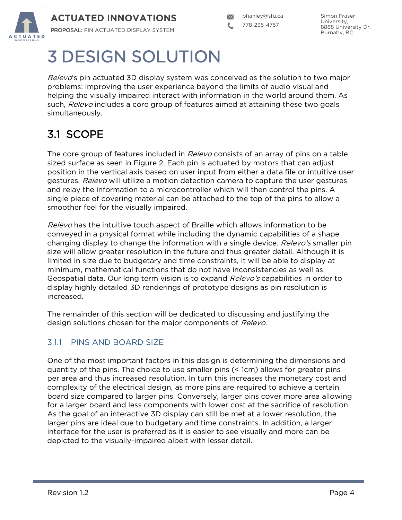

## 3 DESIGN SOLUTION

*Relevo*'s pin actuated 3D display system was conceived as the solution to two major problems: improving the user experience beyond the limits of audio visual and helping the visually impaired interact with information in the world around them. As such, Relevo includes a core group of features aimed at attaining these two goals simultaneously.

### 3.1 SCOPE

The core group of features included in *Relevo* consists of an array of pins on a table sized surface as seen in Figure 2. Each pin is actuated by motors that can adjust position in the vertical axis based on user input from either a data file or intuitive user gestures. Relevo will utilize a motion detection camera to capture the user gestures and relay the information to a microcontroller which will then control the pins. A single piece of covering material can be attached to the top of the pins to allow a smoother feel for the visually impaired.

Relevo has the intuitive touch aspect of Braille which allows information to be conveyed in a physical format while including the dynamic capabilities of a shape changing display to change the information with a single device. Relevo's smaller pin size will allow greater resolution in the future and thus greater detail. Although it is limited in size due to budgetary and time constraints, it will be able to display at minimum, mathematical functions that do not have inconsistencies as well as Geospatial data. Our long term vision is to expand *Relevo's* capabilities in order to display highly detailed 3D renderings of prototype designs as pin resolution is increased.

The remainder of this section will be dedicated to discussing and justifying the design solutions chosen for the major components of Relevo.

### 3.1.1 PINS AND BOARD SIZE

One of the most important factors in this design is determining the dimensions and quantity of the pins. The choice to use smaller pins (< 1cm) allows for greater pins per area and thus increased resolution. In turn this increases the monetary cost and complexity of the electrical design, as more pins are required to achieve a certain board size compared to larger pins. Conversely, larger pins cover more area allowing for a larger board and less components with lower cost at the sacrifice of resolution. As the goal of an interactive 3D display can still be met at a lower resolution, the larger pins are ideal due to budgetary and time constraints. In addition, a larger interface for the user is preferred as it is easier to see visually and more can be depicted to the visually-impaired albeit with lesser detail.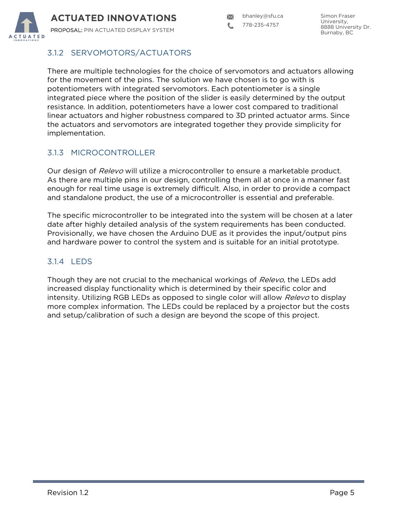

### 3.1.2 SERVOMOTORS/ACTUATORS

There are multiple technologies for the choice of servomotors and actuators allowing for the movement of the pins. The solution we have chosen is to go with is potentiometers with integrated servomotors. Each potentiometer is a single integrated piece where the position of the slider is easily determined by the output resistance. In addition, potentiometers have a lower cost compared to traditional linear actuators and higher robustness compared to 3D printed actuator arms. Since the actuators and servomotors are integrated together they provide simplicity for implementation.

### 3.1.3 MICROCONTROLLER

Our design of Relevo will utilize a microcontroller to ensure a marketable product. As there are multiple pins in our design, controlling them all at once in a manner fast enough for real time usage is extremely difficult. Also, in order to provide a compact and standalone product, the use of a microcontroller is essential and preferable.

The specific microcontroller to be integrated into the system will be chosen at a later date after highly detailed analysis of the system requirements has been conducted. Provisionally, we have chosen the Arduino DUE as it provides the input/output pins and hardware power to control the system and is suitable for an initial prototype.

### 3.1.4 LEDS

Though they are not crucial to the mechanical workings of Relevo, the LEDs add increased display functionality which is determined by their specific color and intensity. Utilizing RGB LEDs as opposed to single color will allow *Relevo* to display more complex information. The LEDs could be replaced by a projector but the costs and setup/calibration of such a design are beyond the scope of this project.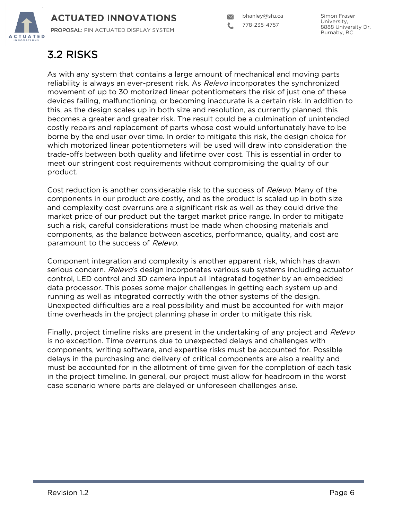

### 3.2 RISKS

As with any system that contains a large amount of mechanical and moving parts reliability is always an ever-present risk. As *Relevo* incorporates the synchronized movement of up to 30 motorized linear potentiometers the risk of just one of these devices failing, malfunctioning, or becoming inaccurate is a certain risk. In addition to this, as the design scales up in both size and resolution, as currently planned, this becomes a greater and greater risk. The result could be a culmination of unintended costly repairs and replacement of parts whose cost would unfortunately have to be borne by the end user over time. In order to mitigate this risk, the design choice for which motorized linear potentiometers will be used will draw into consideration the trade-offs between both quality and lifetime over cost. This is essential in order to meet our stringent cost requirements without compromising the quality of our product.

Cost reduction is another considerable risk to the success of Relevo. Many of the components in our product are costly, and as the product is scaled up in both size and complexity cost overruns are a significant risk as well as they could drive the market price of our product out the target market price range. In order to mitigate such a risk, careful considerations must be made when choosing materials and components, as the balance between ascetics, performance, quality, and cost are paramount to the success of Relevo.

Component integration and complexity is another apparent risk, which has drawn serious concern. Relevo's design incorporates various sub systems including actuator control, LED control and 3D camera input all integrated together by an embedded data processor. This poses some major challenges in getting each system up and running as well as integrated correctly with the other systems of the design. Unexpected difficulties are a real possibility and must be accounted for with major time overheads in the project planning phase in order to mitigate this risk.

Finally, project timeline risks are present in the undertaking of any project and Relevo is no exception. Time overruns due to unexpected delays and challenges with components, writing software, and expertise risks must be accounted for. Possible delays in the purchasing and delivery of critical components are also a reality and must be accounted for in the allotment of time given for the completion of each task in the project timeline. In general, our project must allow for headroom in the worst case scenario where parts are delayed or unforeseen challenges arise.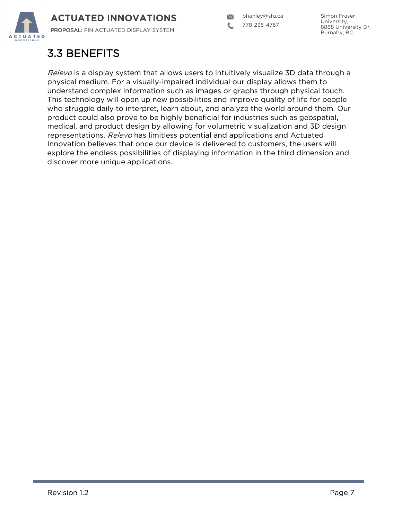

bhanley@sfu.ca  $\boxtimes$ 778-235-4757

### 3.3 BENEFITS

Relevo is a display system that allows users to intuitively visualize 3D data through a physical medium. For a visually-impaired individual our display allows them to understand complex information such as images or graphs through physical touch. This technology will open up new possibilities and improve quality of life for people who struggle daily to interpret, learn about, and analyze the world around them. Our product could also prove to be highly beneficial for industries such as geospatial, medical, and product design by allowing for volumetric visualization and 3D design representations. Relevo has limitless potential and applications and Actuated Innovation believes that once our device is delivered to customers, the users will explore the endless possibilities of displaying information in the third dimension and discover more unique applications.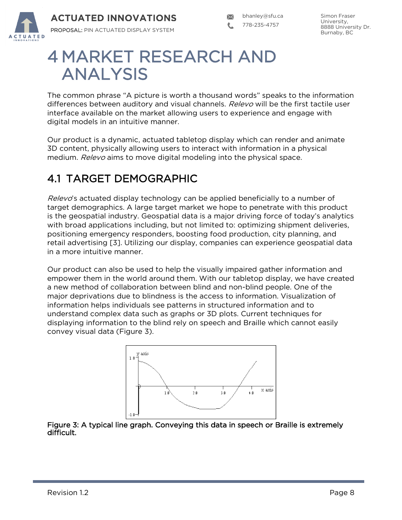

## 4 MARKET RESEARCH AND ANALYSIS

The common phrase "A picture is worth a thousand words" speaks to the information differences between auditory and visual channels. Relevo will be the first tactile user interface available on the market allowing users to experience and engage with digital models in an intuitive manner.

Our product is a dynamic, actuated tabletop display which can render and animate 3D content, physically allowing users to interact with information in a physical medium. Relevo aims to move digital modeling into the physical space.

### 4.1 TARGET DEMOGRAPHIC

Relevo's actuated display technology can be applied beneficially to a number of target demographics. A large target market we hope to penetrate with this product is the geospatial industry. Geospatial data is a major driving force of today"s analytics with broad applications including, but not limited to: optimizing shipment deliveries, positioning emergency responders, boosting food production, city planning, and retail advertising [3]. Utilizing our display, companies can experience geospatial data in a more intuitive manner.

Our product can also be used to help the visually impaired gather information and empower them in the world around them. With our tabletop display, we have created a new method of collaboration between blind and non-blind people. One of the major deprivations due to blindness is the access to information. Visualization of information helps individuals see patterns in structured information and to understand complex data such as graphs or 3D plots. Current techniques for displaying information to the blind rely on speech and Braille which cannot easily convey visual data (Figure 3).



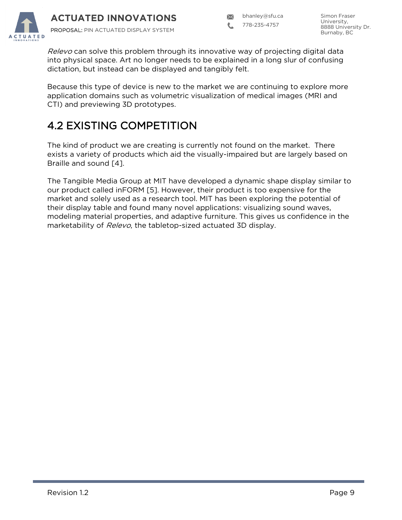

bhanley@sfu.ca

778-235-4757

Relevo can solve this problem through its innovative way of projecting digital data into physical space. Art no longer needs to be explained in a long slur of confusing dictation, but instead can be displayed and tangibly felt.

Because this type of device is new to the market we are continuing to explore more application domains such as volumetric visualization of medical images (MRI and CTI) and previewing 3D prototypes.

### 4.2 EXISTING COMPETITION

The kind of product we are creating is currently not found on the market. There exists a variety of products which aid the visually-impaired but are largely based on Braille and sound [4].

The Tangible Media Group at MIT have developed a dynamic shape display similar to our product called inFORM [5]. However, their product is too expensive for the market and solely used as a research tool. MIT has been exploring the potential of their display table and found many novel applications: visualizing sound waves, modeling material properties, and adaptive furniture. This gives us confidence in the marketability of Relevo, the tabletop-sized actuated 3D display.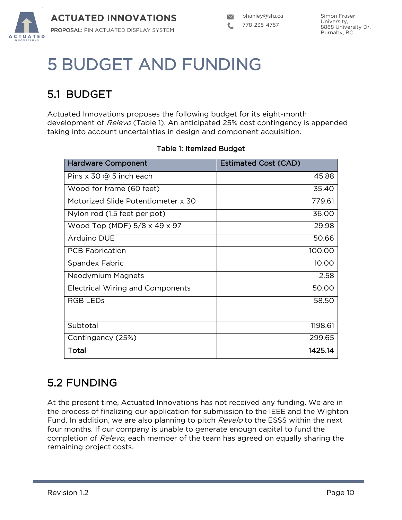

## 5 BUDGET AND FUNDING

### 5.1 BUDGET

Actuated Innovations proposes the following budget for its eight-month development of Relevo (Table 1). An anticipated 25% cost contingency is appended taking into account uncertainties in design and component acquisition.

| <b>Hardware Component</b>                | <b>Estimated Cost (CAD)</b> |
|------------------------------------------|-----------------------------|
| Pins $\times$ 30 @ 5 inch each           | 45.88                       |
| Wood for frame (60 feet)                 | 35.40                       |
| Motorized Slide Potentiometer x 30       | 779.61                      |
| Nylon rod (1.5 feet per pot)             | 36.00                       |
| Wood Top (MDF) $5/8 \times 49 \times 97$ | 29.98                       |
| Arduino DUE                              | 50.66                       |
| <b>PCB Fabrication</b>                   | 100.00                      |
| Spandex Fabric                           | 10.00                       |
| Neodymium Magnets                        | 2.58                        |
| <b>Electrical Wiring and Components</b>  | 50.00                       |
| <b>RGB LEDS</b>                          | 58.50                       |
|                                          |                             |
| Subtotal                                 | 1198.61                     |
| Contingency (25%)                        | 299.65                      |
| Total                                    | 1425.14                     |

#### Table 1: Itemized Budget

### 5.2 FUNDING

At the present time, Actuated Innovations has not received any funding. We are in the process of finalizing our application for submission to the IEEE and the Wighton Fund. In addition, we are also planning to pitch *Revelo* to the ESSS within the next four months. If our company is unable to generate enough capital to fund the completion of Relevo, each member of the team has agreed on equally sharing the remaining project costs.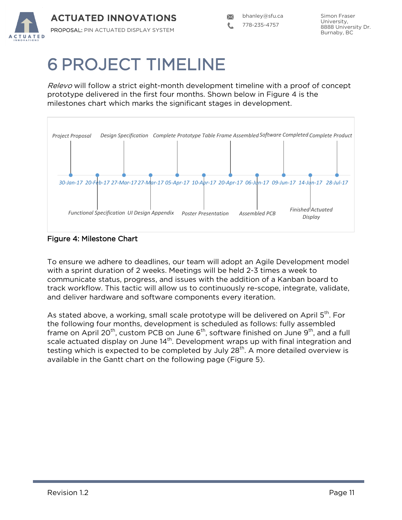

## 6 PROJECT TIMELINE

Relevo will follow a strict eight-month development timeline with a proof of concept prototype delivered in the first four months. Shown below in Figure 4 is the milestones chart which marks the significant stages in development.



Figure 4: Milestone Chart

To ensure we adhere to deadlines, our team will adopt an Agile Development model with a sprint duration of 2 weeks. Meetings will be held 2-3 times a week to communicate status, progress, and issues with the addition of a Kanban board to track workflow. This tactic will allow us to continuously re-scope, integrate, validate, and deliver hardware and software components every iteration.

As stated above, a working, small scale prototype will be delivered on April 5<sup>th</sup>. For the following four months, development is scheduled as follows: fully assembled frame on April 20<sup>th</sup>, custom PCB on June  $6<sup>th</sup>$ , software finished on June  $9<sup>th</sup>$ , and a full scale actuated display on June  $14<sup>th</sup>$ . Development wraps up with final integration and testing which is expected to be completed by July  $28<sup>th</sup>$ . A more detailed overview is available in the Gantt chart on the following page (Figure 5).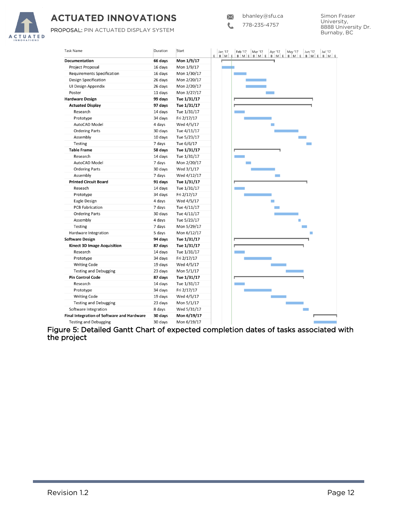

### **ACTUATED INNOVATIONS**

PROPOSAL: PIN ACTUATED DISPLAY SYSTEM

L 778-235-4757

| <b>Task Name</b>                           | Duration | Start       |
|--------------------------------------------|----------|-------------|
| <b>Documentation</b>                       | 66 days  | Mon 1/9/17  |
| Project Proposal                           | 16 days  | Mon 1/9/17  |
| <b>Requirements Specification</b>          | 16 days  | Mon 1/30/17 |
| <b>Design Specification</b>                | 26 days  | Mon 2/20/17 |
| UI Design Appendix                         | 26 days  | Mon 2/20/17 |
| Poster                                     | 11 days  | Mon 3/27/17 |
| <b>Hardware Design</b>                     | 99 days  | Tue 1/31/17 |
| <b>Actuated Display</b>                    | 97 days  | Tue 1/31/17 |
| Research                                   | 14 days  | Tue 1/31/17 |
| Prototype                                  | 34 days  | Fri 2/17/17 |
| AutoCAD Model                              | 4 days   | Wed 4/5/17  |
| <b>Ordering Parts</b>                      | 30 days  | Tue 4/11/17 |
| Assembly                                   | 10 days  | Tue 5/23/17 |
| <b>Testing</b>                             | 7 days   | Tue 6/6/17  |
| <b>Table Frame</b>                         | 58 days  | Tue 1/31/17 |
| Research                                   | 14 days  | Tue 1/31/17 |
| AutoCAD Model                              | 7 days   | Mon 2/20/17 |
| <b>Ordering Parts</b>                      | 30 days  | Wed 3/1/17  |
| Assembly                                   | 7 days   | Wed 4/12/17 |
| <b>Printed Circuit Board</b>               | 91 days  | Tue 1/31/17 |
| Reseach                                    | 14 days  | Tue 1/31/17 |
| Prototype                                  | 34 days  | Fri 2/17/17 |
| Eagle Design                               | 4 days   | Wed 4/5/17  |
| <b>PCB Fabrication</b>                     | 7 days   | Tue 4/11/17 |
| <b>Ordering Parts</b>                      | 30 days  | Tue 4/11/17 |
| Assembly                                   | 4 days   | Tue 5/23/17 |
| Testing                                    | 7 days   | Mon 5/29/17 |
| Hardware Integration                       | 5 days   | Mon 6/12/17 |
| <b>Software Design</b>                     | 94 days  | Tue 1/31/17 |
| <b>Kinect 3D Image Acquisition</b>         | 87 days  | Tue 1/31/17 |
| Research                                   | 14 days  | Tue 1/31/17 |
| Prototype                                  | 34 days  | Fri 2/17/17 |
| <b>Writing Code</b>                        | 19 days  | Wed 4/5/17  |
| <b>Testing and Debugging</b>               | 23 days  | Mon 5/1/17  |
| <b>Pin Control Code</b>                    | 87 days  | Tue 1/31/17 |
| Research                                   | 14 days  | Tue 1/31/17 |
| Prototype                                  | 34 days  | Fri 2/17/17 |
| <b>Writing Code</b>                        | 19 days  | Wed 4/5/17  |
|                                            |          |             |
| <b>Testing and Debugging</b>               | 23 days  | Mon 5/1/17  |
| Software Integration                       | 8 days   | Wed 5/31/17 |
| Final Integration of Software and Hardware | 30 days  | Mon 6/19/17 |
| <b>Testing and Debugging</b>               | 30 days  | Mon 6/19/17 |

Figure 5: Detailed Gantt Chart of expected completion dates of tasks associated with the project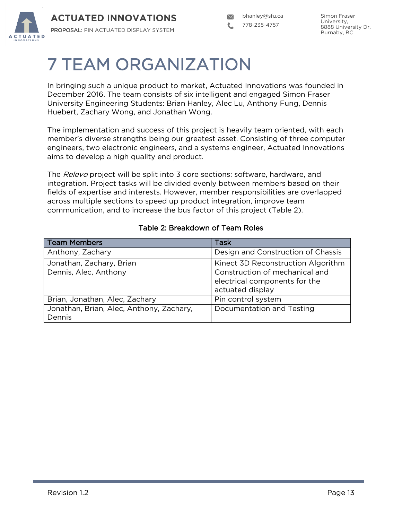

## 7 TEAM ORGANIZATION

In bringing such a unique product to market, Actuated Innovations was founded in December 2016. The team consists of six intelligent and engaged Simon Fraser University Engineering Students: Brian Hanley, Alec Lu, Anthony Fung, Dennis Huebert, Zachary Wong, and Jonathan Wong.

The implementation and success of this project is heavily team oriented, with each member"s diverse strengths being our greatest asset. Consisting of three computer engineers, two electronic engineers, and a systems engineer, Actuated Innovations aims to develop a high quality end product.

The Relevo project will be split into 3 core sections: software, hardware, and integration. Project tasks will be divided evenly between members based on their fields of expertise and interests. However, member responsibilities are overlapped across multiple sections to speed up product integration, improve team communication, and to increase the bus factor of this project (Table 2).

| <b>Team Members</b>                      | Task                                                            |
|------------------------------------------|-----------------------------------------------------------------|
| Anthony, Zachary                         | Design and Construction of Chassis                              |
| Jonathan, Zachary, Brian                 | Kinect 3D Reconstruction Algorithm                              |
| Dennis, Alec, Anthony                    | Construction of mechanical and<br>electrical components for the |
|                                          | actuated display                                                |
| Brian, Jonathan, Alec, Zachary           | Pin control system                                              |
| Jonathan, Brian, Alec, Anthony, Zachary, | Documentation and Testing                                       |
| Dennis                                   |                                                                 |

#### Table 2: Breakdown of Team Roles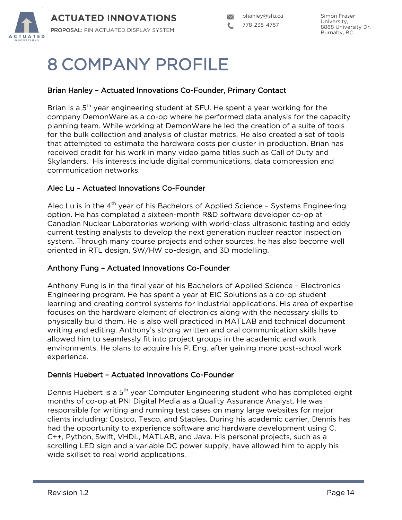

## 8 COMPANY PROFILE

#### Brian Hanley – Actuated Innovations Co-Founder, Primary Contact

Brian is a 5<sup>th</sup> year engineering student at SFU. He spent a year working for the company DemonWare as a co-op where he performed data analysis for the capacity planning team. While working at DemonWare he led the creation of a suite of tools for the bulk collection and analysis of cluster metrics. He also created a set of tools that attempted to estimate the hardware costs per cluster in production. Brian has received credit for his work in many video game titles such as Call of Duty and Skylanders. His interests include digital communications, data compression and communication networks.

#### Alec Lu – Actuated Innovations Co-Founder

Alec Lu is in the  $4<sup>th</sup>$  year of his Bachelors of Applied Science - Systems Engineering option. He has completed a sixteen-month R&D software developer co-op at Canadian Nuclear Laboratories working with world-class ultrasonic testing and eddy current testing analysts to develop the next generation nuclear reactor inspection system. Through many course projects and other sources, he has also become well oriented in RTL design, SW/HW co-design, and 3D modelling.

#### Anthony Fung – Actuated Innovations Co-Founder

Anthony Fung is in the final year of his Bachelors of Applied Science – Electronics Engineering program. He has spent a year at EIC Solutions as a co-op student learning and creating control systems for industrial applications. His area of expertise focuses on the hardware element of electronics along with the necessary skills to physically build them. He is also well practiced in MATLAB and technical document writing and editing. Anthony"s strong written and oral communication skills have allowed him to seamlessly fit into project groups in the academic and work environments. He plans to acquire his P. Eng. after gaining more post-school work experience.

#### Dennis Huebert – Actuated Innovations Co-Founder

Dennis Huebert is a 5<sup>th</sup> year Computer Engineering student who has completed eight months of co-op at PNI Digital Media as a Quality Assurance Analyst. He was responsible for writing and running test cases on many large websites for major clients including: Costco, Tesco, and Staples. During his academic carrier, Dennis has had the opportunity to experience software and hardware development using C, C++, Python, Swift, VHDL, MATLAB, and Java. His personal projects, such as a scrolling LED sign and a variable DC power supply, have allowed him to apply his wide skillset to real world applications.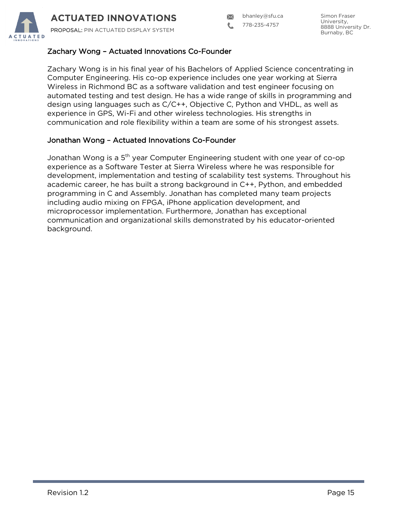

bhanley@sfu.ca

778-235-4757

### Zachary Wong – Actuated Innovations Co-Founder

Zachary Wong is in his final year of his Bachelors of Applied Science concentrating in Computer Engineering. His co-op experience includes one year working at Sierra Wireless in Richmond BC as a software validation and test engineer focusing on automated testing and test design. He has a wide range of skills in programming and design using languages such as C/C++, Objective C, Python and VHDL, as well as experience in GPS, Wi-Fi and other wireless technologies. His strengths in communication and role flexibility within a team are some of his strongest assets.

#### Jonathan Wong – Actuated Innovations Co-Founder

Jonathan Wong is a  $5<sup>th</sup>$  year Computer Engineering student with one year of co-op experience as a Software Tester at Sierra Wireless where he was responsible for development, implementation and testing of scalability test systems. Throughout his academic career, he has built a strong background in C++, Python, and embedded programming in C and Assembly. Jonathan has completed many team projects including audio mixing on FPGA, iPhone application development, and microprocessor implementation. Furthermore, Jonathan has exceptional communication and organizational skills demonstrated by his educator-oriented background.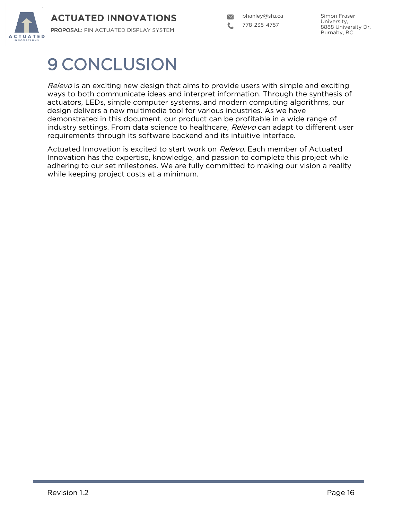

bhanley@sfu.ca  $\boxtimes$ 778-235-4757

## 9 CONCLUSION

Relevo is an exciting new design that aims to provide users with simple and exciting ways to both communicate ideas and interpret information. Through the synthesis of actuators, LEDs, simple computer systems, and modern computing algorithms, our design delivers a new multimedia tool for various industries. As we have demonstrated in this document, our product can be profitable in a wide range of industry settings. From data science to healthcare, Relevo can adapt to different user requirements through its software backend and its intuitive interface.

Actuated Innovation is excited to start work on Relevo. Each member of Actuated Innovation has the expertise, knowledge, and passion to complete this project while adhering to our set milestones. We are fully committed to making our vision a reality while keeping project costs at a minimum.